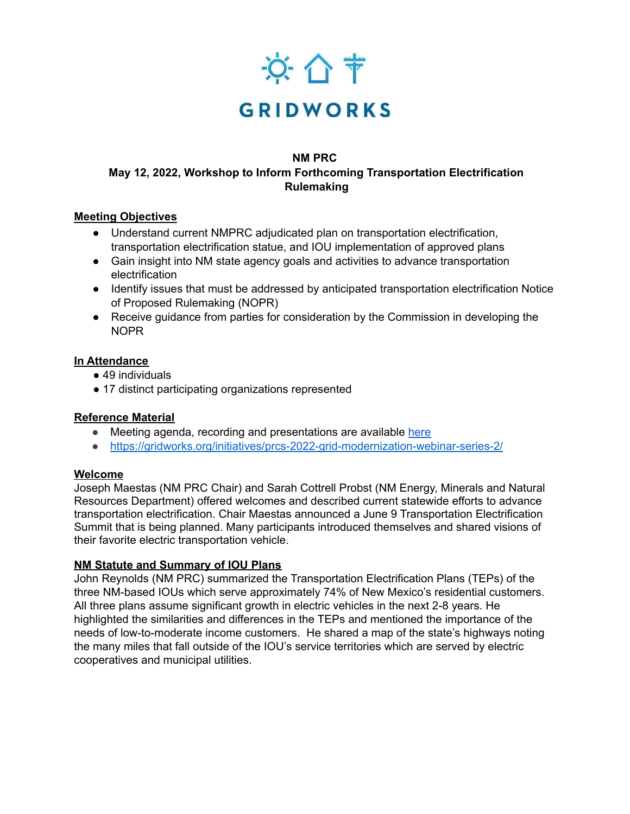

#### **NM PRC**

# **May 12, 2022, Workshop to Inform Forthcoming Transportation Electrification Rulemaking**

## **Meeting Objectives**

- Understand current NMPRC adjudicated plan on transportation electrification, transportation electrification statue, and IOU implementation of approved plans
- Gain insight into NM state agency goals and activities to advance transportation electrification
- Identify issues that must be addressed by anticipated transportation electrification Notice of Proposed Rulemaking (NOPR)
- Receive quidance from parties for consideration by the Commission in developing the NOPR

### **In Attendance**

- 49 individuals
- 17 distinct participating organizations represented

# **Reference Material**

- Meeting agenda, recording and presentations are available [here](https://gridworks.org/wp-content/uploads/2022/04/May-5-Agenda-NWA.docx.pdf)
- <https://gridworks.org/initiatives/prcs-2022-grid-modernization-webinar-series-2/>

### **Welcome**

Joseph Maestas (NM PRC Chair) and Sarah Cottrell Probst (NM Energy, Minerals and Natural Resources Department) offered welcomes and described current statewide efforts to advance transportation electrification. Chair Maestas announced a June 9 Transportation Electrification Summit that is being planned. Many participants introduced themselves and shared visions of their favorite electric transportation vehicle.

### **NM Statute and Summary of IOU Plans**

John Reynolds (NM PRC) summarized the Transportation Electrification Plans (TEPs) of the three NM-based IOUs which serve approximately 74% of New Mexico's residential customers. All three plans assume significant growth in electric vehicles in the next 2-8 years. He highlighted the similarities and differences in the TEPs and mentioned the importance of the needs of low-to-moderate income customers. He shared a map of the state's highways noting the many miles that fall outside of the IOU's service territories which are served by electric cooperatives and municipal utilities.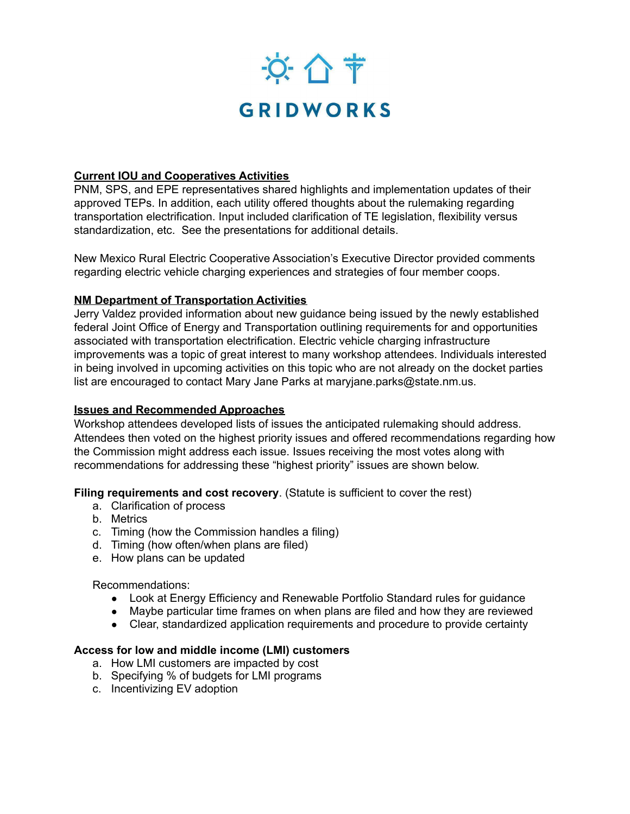

### **Current IOU and Cooperatives Activities**

PNM, SPS, and EPE representatives shared highlights and implementation updates of their approved TEPs. In addition, each utility offered thoughts about the rulemaking regarding transportation electrification. Input included clarification of TE legislation, flexibility versus standardization, etc. See the presentations for additional details.

New Mexico Rural Electric Cooperative Association's Executive Director provided comments regarding electric vehicle charging experiences and strategies of four member coops.

### **NM Department of Transportation Activities**

Jerry Valdez provided information about new guidance being issued by the newly established federal Joint Office of Energy and Transportation outlining requirements for and opportunities associated with transportation electrification. Electric vehicle charging infrastructure improvements was a topic of great interest to many workshop attendees. Individuals interested in being involved in upcoming activities on this topic who are not already on the docket parties list are encouraged to contact Mary Jane Parks at [maryjane.parks@state.nm.us](mailto:maryjane.parks@state.nm.us).

### **Issues and Recommended Approaches**

Workshop attendees developed lists of issues the anticipated rulemaking should address. Attendees then voted on the highest priority issues and offered recommendations regarding how the Commission might address each issue. Issues receiving the most votes along with recommendations for addressing these "highest priority" issues are shown below.

**Filing requirements and cost recovery**. (Statute is sufficient to cover the rest)

- a. Clarification of process
- b. Metrics
- c. Timing (how the Commission handles a filing)
- d. Timing (how often/when plans are filed)
- e. How plans can be updated

### Recommendations:

- Look at Energy Efficiency and Renewable Portfolio Standard rules for guidance
- Maybe particular time frames on when plans are filed and how they are reviewed
- Clear, standardized application requirements and procedure to provide certainty

### **Access for low and middle income (LMI) customers**

- a. How LMI customers are impacted by cost
- b. Specifying % of budgets for LMI programs
- c. Incentivizing EV adoption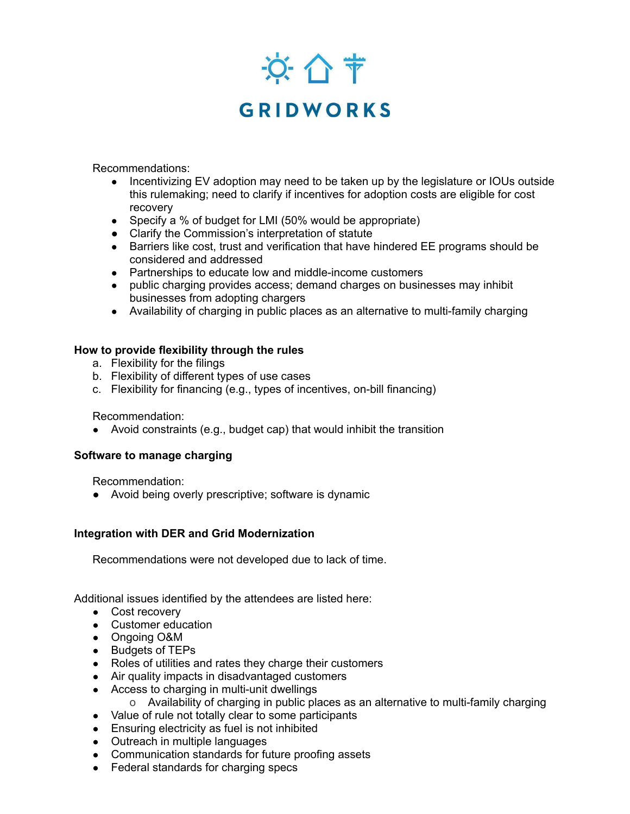

Recommendations:

- Incentivizing EV adoption may need to be taken up by the legislature or IOUs outside this rulemaking; need to clarify if incentives for adoption costs are eligible for cost recovery
- Specify a % of budget for LMI (50% would be appropriate)
- Clarify the Commission's interpretation of statute
- Barriers like cost, trust and verification that have hindered EE programs should be considered and addressed
- Partnerships to educate low and middle-income customers
- public charging provides access; demand charges on businesses may inhibit businesses from adopting chargers
- Availability of charging in public places as an alternative to multi-family charging

### **How to provide flexibility through the rules**

- a. Flexibility for the filings
- b. Flexibility of different types of use cases
- c. Flexibility for financing (e.g., types of incentives, on-bill financing)

Recommendation:

● Avoid constraints (e.g., budget cap) that would inhibit the transition

### **Software to manage charging**

Recommendation:

● Avoid being overly prescriptive; software is dynamic

### **Integration with DER and Grid Modernization**

Recommendations were not developed due to lack of time.

Additional issues identified by the attendees are listed here:

- Cost recovery
- Customer education
- Ongoing O&M
- Budgets of TEPs
- Roles of utilities and rates they charge their customers
- Air quality impacts in disadvantaged customers
- Access to charging in multi-unit dwellings
	- o Availability of charging in public places as an alternative to multi-family charging
- Value of rule not totally clear to some participants
- Ensuring electricity as fuel is not inhibited
- Outreach in multiple languages
- Communication standards for future proofing assets
- Federal standards for charging specs